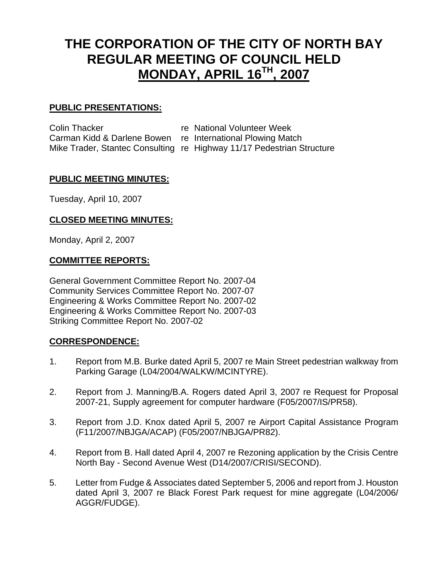# **THE CORPORATION OF THE CITY OF NORTH BAY REGULAR MEETING OF COUNCIL HELD MONDAY, APRIL 16TH, 2007**

# **PUBLIC PRESENTATIONS:**

Colin Thacker re National Volunteer Week Carman Kidd & Darlene Bowen re International Plowing Match Mike Trader, Stantec Consulting re Highway 11/17 Pedestrian Structure

#### **PUBLIC MEETING MINUTES:**

Tuesday, April 10, 2007

# **CLOSED MEETING MINUTES:**

Monday, April 2, 2007

# **COMMITTEE REPORTS:**

General Government Committee Report No. 2007-04 Community Services Committee Report No. 2007-07 Engineering & Works Committee Report No. 2007-02 Engineering & Works Committee Report No. 2007-03 Striking Committee Report No. 2007-02

# **CORRESPONDENCE:**

- 1. Report from M.B. Burke dated April 5, 2007 re Main Street pedestrian walkway from Parking Garage (L04/2004/WALKW/MCINTYRE).
- 2. Report from J. Manning/B.A. Rogers dated April 3, 2007 re Request for Proposal 2007-21, Supply agreement for computer hardware (F05/2007/IS/PR58).
- 3. Report from J.D. Knox dated April 5, 2007 re Airport Capital Assistance Program (F11/2007/NBJGA/ACAP) (F05/2007/NBJGA/PR82).
- 4. Report from B. Hall dated April 4, 2007 re Rezoning application by the Crisis Centre North Bay - Second Avenue West (D14/2007/CRISI/SECOND).
- 5. Letter from Fudge & Associates dated September 5, 2006 and report from J. Houston dated April 3, 2007 re Black Forest Park request for mine aggregate (L04/2006/ AGGR/FUDGE).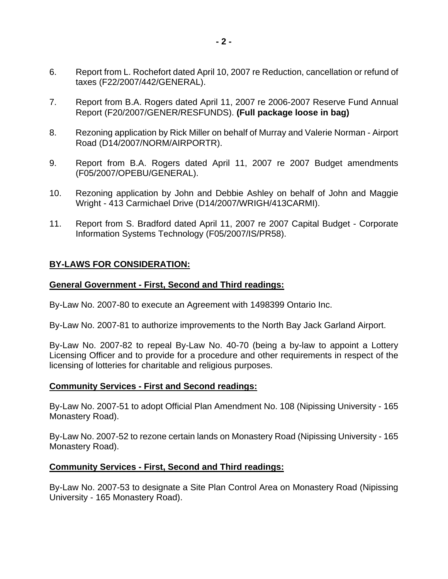- 6. Report from L. Rochefort dated April 10, 2007 re Reduction, cancellation or refund of taxes (F22/2007/442/GENERAL).
- 7. Report from B.A. Rogers dated April 11, 2007 re 2006-2007 Reserve Fund Annual Report (F20/2007/GENER/RESFUNDS). **(Full package loose in bag)**
- 8. Rezoning application by Rick Miller on behalf of Murray and Valerie Norman Airport Road (D14/2007/NORM/AIRPORTR).
- 9. Report from B.A. Rogers dated April 11, 2007 re 2007 Budget amendments (F05/2007/OPEBU/GENERAL).
- 10. Rezoning application by John and Debbie Ashley on behalf of John and Maggie Wright - 413 Carmichael Drive (D14/2007/WRIGH/413CARMI).
- 11. Report from S. Bradford dated April 11, 2007 re 2007 Capital Budget Corporate Information Systems Technology (F05/2007/IS/PR58).

#### **BY-LAWS FOR CONSIDERATION:**

#### **General Government - First, Second and Third readings:**

By-Law No. 2007-80 to execute an Agreement with 1498399 Ontario Inc.

By-Law No. 2007-81 to authorize improvements to the North Bay Jack Garland Airport.

By-Law No. 2007-82 to repeal By-Law No. 40-70 (being a by-law to appoint a Lottery Licensing Officer and to provide for a procedure and other requirements in respect of the licensing of lotteries for charitable and religious purposes.

#### **Community Services - First and Second readings:**

By-Law No. 2007-51 to adopt Official Plan Amendment No. 108 (Nipissing University - 165 Monastery Road).

By-Law No. 2007-52 to rezone certain lands on Monastery Road (Nipissing University - 165 Monastery Road).

#### **Community Services - First, Second and Third readings:**

By-Law No. 2007-53 to designate a Site Plan Control Area on Monastery Road (Nipissing University - 165 Monastery Road).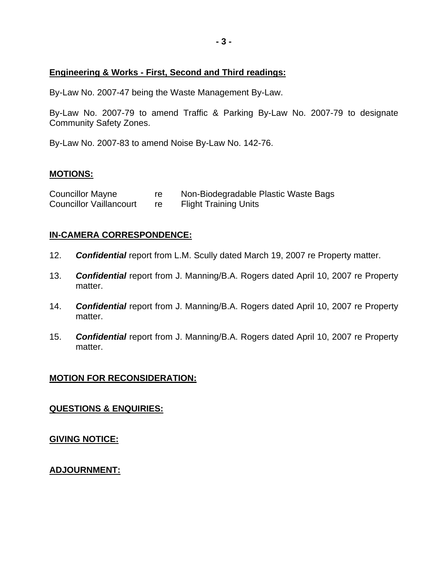#### **Engineering & Works - First, Second and Third readings:**

By-Law No. 2007-47 being the Waste Management By-Law.

By-Law No. 2007-79 to amend Traffic & Parking By-Law No. 2007-79 to designate Community Safety Zones.

By-Law No. 2007-83 to amend Noise By-Law No. 142-76.

#### **MOTIONS:**

| <b>Councillor Mayne</b>        | Non-Biodegradable Plastic Waste Bags |
|--------------------------------|--------------------------------------|
| <b>Councillor Vaillancourt</b> | <b>Flight Training Units</b>         |

# **IN-CAMERA CORRESPONDENCE:**

- 12. *Confidential* report from L.M. Scully dated March 19, 2007 re Property matter.
- 13. *Confidential* report from J. Manning/B.A. Rogers dated April 10, 2007 re Property matter.
- 14. *Confidential* report from J. Manning/B.A. Rogers dated April 10, 2007 re Property matter.
- 15. *Confidential* report from J. Manning/B.A. Rogers dated April 10, 2007 re Property matter.

#### **MOTION FOR RECONSIDERATION:**

#### **QUESTIONS & ENQUIRIES:**

#### **GIVING NOTICE:**

# **ADJOURNMENT:**